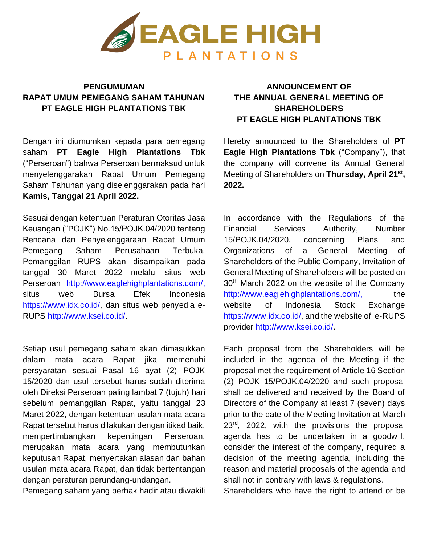

## **PENGUMUMAN RAPAT UMUM PEMEGANG SAHAM TAHUNAN PT EAGLE HIGH PLANTATIONS TBK**

Dengan ini diumumkan kepada para pemegang saham **PT Eagle High Plantations Tbk**  ("Perseroan") bahwa Perseroan bermaksud untuk menyelenggarakan Rapat Umum Pemegang Saham Tahunan yang diselenggarakan pada hari **Kamis, Tanggal 21 April 2022.**

Sesuai dengan ketentuan Peraturan Otoritas Jasa Keuangan ("POJK") No.15/POJK.04/2020 tentang Rencana dan Penyelenggaraan Rapat Umum Pemegang Saham Perusahaan Terbuka, Pemanggilan RUPS akan disampaikan pada tanggal 30 Maret 2022 melalui situs web Perseroan <http://www.eaglehighplantations.com/,> situs web Bursa Efek Indonesia [https://www.idx.co.id/, d](https://www.idx.co.id/)an situs web penyedia e-RUPS [http://www.ksei.co.id/.](http://www.ksei.co.id/)

Setiap usul pemegang saham akan dimasukkan dalam mata acara Rapat jika memenuhi persyaratan sesuai Pasal 16 ayat (2) POJK 15/2020 dan usul tersebut harus sudah diterima oleh Direksi Perseroan paling lambat 7 (tujuh) hari sebelum pemanggilan Rapat, yaitu tanggal 23 Maret 2022, dengan ketentuan usulan mata acara Rapat tersebut harus dilakukan dengan itikad baik, mempertimbangkan kepentingan Perseroan, merupakan mata acara yang membutuhkan keputusan Rapat, menyertakan alasan dan bahan usulan mata acara Rapat, dan tidak bertentangan dengan peraturan perundang-undangan.

Pemegang saham yang berhak hadir atau diwakili

## **ANNOUNCEMENT OF THE ANNUAL GENERAL MEETING OF SHAREHOLDERS PT EAGLE HIGH PLANTATIONS TBK**

Hereby announced to the Shareholders of **PT Eagle High Plantations Tbk** ("Company"), that the company will convene its Annual General Meeting of Shareholders on **Thursday, April 21st , 2022.**

In accordance with the Regulations of the Financial Services Authority, Number 15/POJK.04/2020, concerning Plans and Organizations of a General Meeting of Shareholders of the Public Company, Invitation of General Meeting of Shareholders will be posted on 30<sup>th</sup> March 2022 on the website of the Company <http://www.eaglehighplantations.com/,> the website of Indonesia Stock Exchange [https://www.idx.co.id/,](https://www.idx.co.id/) and the website of e-RUPS provider [http://www.ksei.co.id/.](http://www.ksei.co.id/)

Each proposal from the Shareholders will be included in the agenda of the Meeting if the proposal met the requirement of Article 16 Section (2) POJK 15/POJK.04/2020 and such proposal shall be delivered and received by the Board of Directors of the Company at least 7 (seven) days prior to the date of the Meeting Invitation at March 23<sup>rd</sup>, 2022, with the provisions the proposal agenda has to be undertaken in a goodwill, consider the interest of the company, required a decision of the meeting agenda, including the reason and material proposals of the agenda and shall not in contrary with laws & regulations.

Shareholders who have the right to attend or be